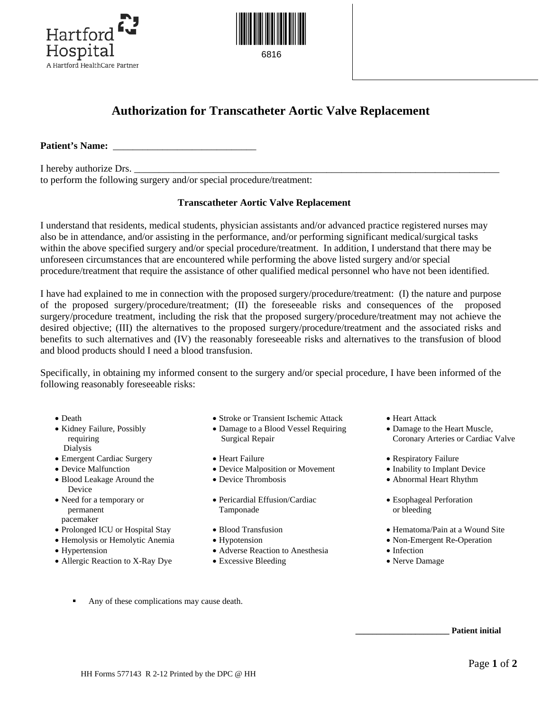



6816

## **Authorization for Transcatheter Aortic Valve Replacement**

**Patient's Name:** \_\_\_\_\_\_\_\_\_\_\_\_\_\_\_\_\_\_\_\_\_\_\_\_\_\_\_\_\_

I hereby authorize Drs. to perform the following surgery and/or special procedure/treatment:

## **Transcatheter Aortic Valve Replacement**

I understand that residents, medical students, physician assistants and/or advanced practice registered nurses may also be in attendance, and/or assisting in the performance, and/or performing significant medical/surgical tasks within the above specified surgery and/or special procedure/treatment. In addition, I understand that there may be unforeseen circumstances that are encountered while performing the above listed surgery and/or special procedure/treatment that require the assistance of other qualified medical personnel who have not been identified.

I have had explained to me in connection with the proposed surgery/procedure/treatment: (I) the nature and purpose of the proposed surgery/procedure/treatment; (II) the foreseeable risks and consequences of the proposed surgery/procedure treatment, including the risk that the proposed surgery/procedure/treatment may not achieve the desired objective; (III) the alternatives to the proposed surgery/procedure/treatment and the associated risks and benefits to such alternatives and (IV) the reasonably foreseeable risks and alternatives to the transfusion of blood and blood products should I need a blood transfusion.

Specifically, in obtaining my informed consent to the surgery and/or special procedure, I have been informed of the following reasonably foreseeable risks:

- 
- Kidney Failure, Possibly requiring Dialysis
- Emergent Cardiac Surgery Heart Failure Pespiratory Failure Respiratory Failure
- Device Malfunction
- Blood Leakage Around the Device
- Need for a temporary or permanent pacemaker
- Prolonged ICU or Hospital Stay
- Hemolysis or Hemolytic Anemia
- Hypertension
- Allergic Reaction to X-Ray Dye
- Death Stroke or Transient Ischemic Attack Heart Attack
	- Damage to a Blood Vessel Requiring Surgical Repair
	-
	- Device Malposition or Movement
	- Device Thrombosis
	- Pericardial Effusion/Cardiac Tamponade
	- Blood Transfusion
	- Hypotension
	- Adverse Reaction to Anesthesia
	- Excessive Bleeding
- 
- Damage to the Heart Muscle, Coronary Arteries or Cardiac Valve
- 
- Inability to Implant Device
- Abnormal Heart Rhythm
- Esophageal Perforation or bleeding
- Hematoma/Pain at a Wound Site
- Non-Emergent Re-Operation
- Infection
- Nerve Damage

Any of these complications may cause death.

**\_\_\_\_\_\_\_\_\_\_\_\_\_\_\_\_\_\_\_\_\_\_ Patient initial**